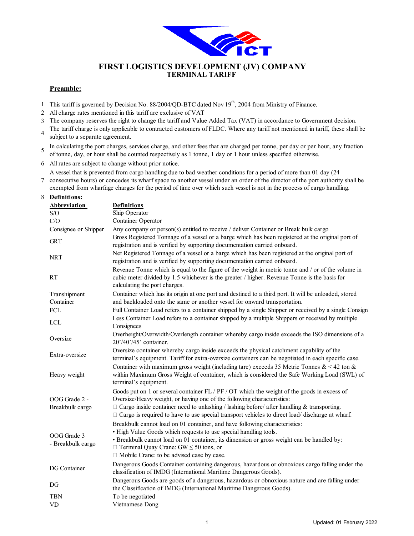

### **TERMINAL TARIFF FIRST LOGISTICS DEVELOPMENT (JV) COMPANY**

#### **Preamble:**

- 1 This tariff is governed by Decision No. 88/2004/QD-BTC dated Nov 19<sup>th</sup>, 2004 from Ministry of Finance.
- 2 All charge rates mentioned in this tariff are exclusive of VAT
- 3 The company reserves the right to change the tariff and Value Added Tax (VAT) in accordance to Government decision.
- 4 The tariff charge is only applicable to contracted customers of FLDC. Where any tariff not mentioned in tariff, these shall be subject to a separate agreement.

5 In calculating the port charges, services charge, and other fees that are charged per tonne, per day or per hour, any fraction of tonne, day, or hour shall be counted respectively as 1 tonne, 1 day or 1 hour unless specified otherwise.

6 All rates are subject to change without prior notice.

A vessel that is prevented from cargo handling due to bad weather conditions for a period of more than 01 day (24

7 consecutive hours) or concedes its wharf space to another vessel under an order of the director of the port authority shall be exempted from wharfage charges for the period of time over which such vessel is not in the process of cargo handling.

#### 8 **Definitions:**

| <b>Abbreviation</b>              | <b>Definitions</b>                                                                                                                                                                                                                                                                                                                                                                  |
|----------------------------------|-------------------------------------------------------------------------------------------------------------------------------------------------------------------------------------------------------------------------------------------------------------------------------------------------------------------------------------------------------------------------------------|
| S/O                              | Ship Operator                                                                                                                                                                                                                                                                                                                                                                       |
| C/O                              | Container Operator                                                                                                                                                                                                                                                                                                                                                                  |
| Consignee or Shipper             | Any company or person(s) entitled to receive / deliver Container or Break bulk cargo                                                                                                                                                                                                                                                                                                |
| <b>GRT</b>                       | Gross Registered Tonnage of a vessel or a barge which has been registered at the original port of<br>registration and is verified by supporting documentation carried onboard.                                                                                                                                                                                                      |
| <b>NRT</b>                       | Net Registered Tonnage of a vessel or a barge which has been registered at the original port of<br>registration and is verified by supporting documentation carried onboard.                                                                                                                                                                                                        |
| <b>RT</b>                        | Revenue Tonne which is equal to the figure of the weight in metric tonne and / or of the volume in<br>cubic meter divided by 1.5 whichever is the greater / higher. Revenue Tonne is the basis for<br>calculating the port charges.                                                                                                                                                 |
| Transhipment<br>Container        | Container which has its origin at one port and destined to a third port. It will be unloaded, stored<br>and backloaded onto the same or another vessel for onward transportation.                                                                                                                                                                                                   |
| <b>FCL</b>                       | Full Container Load refers to a container shipped by a single Shipper or received by a single Consign                                                                                                                                                                                                                                                                               |
| <b>LCL</b>                       | Less Container Load refers to a container shipped by a multiple Shippers or received by multiple<br>Consignees                                                                                                                                                                                                                                                                      |
| Oversize                         | Overheight/Overwidth/Overlength container whereby cargo inside exceeds the ISO dimensions of a<br>20'/40'/45' container.                                                                                                                                                                                                                                                            |
| Extra-oversize                   | Oversize container whereby cargo inside exceeds the physical catchment capability of the<br>terminal's equipment. Tariff for extra-oversize containers can be negotiated in each specific case.                                                                                                                                                                                     |
| Heavy weight                     | Container with maximum gross weight (including tare) exceeds 35 Metric Tonnes $&642$ ton $&64$<br>within Maximum Gross Weight of container, which is considered the Safe Working Load (SWL) of<br>terminal's equipment.                                                                                                                                                             |
| OOG Grade 2 -<br>Breakbulk cargo | Goods put on 1 or several container FL / PF / OT which the weight of the goods in excess of<br>Oversize/Heavy weight, or having one of the following characteristics:<br>$\Box$ Cargo inside container need to unlashing / lashing before/ after handling & transporting.<br>$\Box$ Cargo is required to have to use special transport vehicles to direct load/ discharge at wharf. |
| OOG Grade 3<br>- Breakbulk cargo | Breakbulk cannot load on 01 container, and have following characteristics:<br>• High Value Goods which requests to use special handling tools.<br>· Breakbulk cannot load on 01 container, its dimension or gross weight can be handled by:<br>$\Box$ Terminal Quay Crane: GW $\leq$ 50 tons, or<br>□ Mobile Crane: to be advised case by case.                                     |
| DG Container                     | Dangerous Goods Container containing dangerous, hazardous or obnoxious cargo falling under the<br>classification of IMDG (International Maritime Dangerous Goods).                                                                                                                                                                                                                  |
| DG                               | Dangerous Goods are goods of a dangerous, hazardous or obnoxious nature and are falling under<br>the Classification of IMDG (International Maritime Dangerous Goods).                                                                                                                                                                                                               |
| <b>TBN</b>                       | To be negotiated                                                                                                                                                                                                                                                                                                                                                                    |
| <b>VD</b>                        | Vietnamese Dong                                                                                                                                                                                                                                                                                                                                                                     |
|                                  |                                                                                                                                                                                                                                                                                                                                                                                     |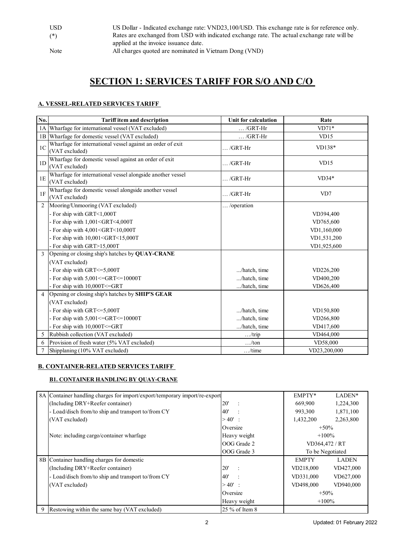| <b>USD</b> | US Dollar - Indicated exchange rate: VND23,100/USD. This exchange rate is for reference only. |
|------------|-----------------------------------------------------------------------------------------------|
| $(*)$      | Rates are exchanged from USD with indicated exchange rate. The actual exchange rate will be   |
|            | applied at the invoice issuance date.                                                         |
| Note       | All charges quoted are nominated in Vietnam Dong (VND)                                        |

# **SECTION 1: SERVICES TARIFF FOR S/O AND C/O**

#### **A. VESSEL-RELATED SERVICES TARIFF**

| No.            | <b>Tariff item and description</b>                                                      | Unit for calculation | Rate         |
|----------------|-----------------------------------------------------------------------------------------|----------------------|--------------|
| 1A             | Wharfage for international vessel (VAT excluded)                                        | $\ldots$ /GRT-Hr     | $VD71*$      |
| 1B             | Wharfage for domestic vessel (VAT excluded)                                             | $\ldots$ /GRT-Hr     | VD15         |
| 1 <sup>C</sup> | Wharfage for international vessel against an order of exit<br>(VAT excluded)            | $\ldots$ /GRT-Hr     | $VD138*$     |
| 1D             | Wharfage for domestic vessel against an order of exit<br>(VAT excluded)                 | $\ldots$ /GRT-Hr     | VD15         |
| 1E             | Wharfage for international vessel alongside another vessel<br>(VAT excluded)            | $\ldots$ /GRT-Hr     | $VD34*$      |
| 1F             | Wharfage for domestic vessel alongside another vessel<br>(VAT excluded)                 | $\ldots$ /GRT-Hr     | VD7          |
| 2              | Mooring/Unmooring (VAT excluded)                                                        | /operation           |              |
|                | - For ship with GRT<1,000T                                                              |                      | VD394,400    |
|                | - For ship with $1,001 < GRT < 4,000T$                                                  |                      | VD765,600    |
|                | - For ship with $4,001 <$ GRT $<$ 10,000T                                               |                      | VD1,160,000  |
|                | - For ship with 10,001 <grt<15,000t< td=""><td></td><td>VD1,531,200</td></grt<15,000t<> |                      | VD1,531,200  |
|                | - For ship with GRT>15,000T                                                             |                      | VD1,925,600  |
| 3              | Opening or closing ship's hatches by QUAY-CRANE                                         |                      |              |
|                | (VAT excluded)                                                                          |                      |              |
|                | - For ship with GRT <= 5,000T                                                           | /hatch, time         | VD226,200    |
|                | - For ship with $5,001 \leq GRT \leq 10000T$                                            | /hatch, time         | VD400,200    |
|                | - For ship with 10,000T <= GRT                                                          | /hatch, time         | VD626,400    |
| $\overline{4}$ | Opening or closing ship's hatches by SHIP'S GEAR                                        |                      |              |
|                | (VAT excluded)                                                                          |                      |              |
|                | - For ship with GRT <= 5,000T                                                           | /hatch, time         | VD150,800    |
|                | - For ship with $5,001 \leq GRT \leq 10000T$                                            | /hatch, time         | VD266,800    |
|                | - For ship with 10,000T <= GRT                                                          | /hatch, time         | VD417,600    |
| 5              | Rubbish collection (VAT excluded)                                                       | $\ldots$ /trip       | VD464,000    |
| 6              | Provision of fresh water (5% VAT excluded)                                              | $\dots$ /ton         | VD58,000     |
|                | Shipplaning (10% VAT excluded)                                                          | $\dots$ /time        | VD23,200,000 |

## **B. CONTAINER-RELATED SERVICES TARIFF**

#### **B1. CONTAINER HANDLING BY QUAY-CRANE**

|   | 8A Container handling charges for import/export/temporary import/re-export |                | EMPTY*           | LADEN*       |
|---|----------------------------------------------------------------------------|----------------|------------------|--------------|
|   | (Including DRY+Reefer container)                                           | 20'            | 669,900          | 1,224,300    |
|   | - Load/disch from/to ship and transport to/from CY                         | 40'            | 993,300          | 1,871,100    |
|   | (VAT excluded)                                                             | $>40'$ :       | 1,432,200        | 2,263,800    |
|   |                                                                            | Oversize       | $+50\%$          |              |
|   | Note: including cargo/container wharfage                                   | Heavy weight   | $+100\%$         |              |
|   |                                                                            | OOG Grade 2    | VD364,472 / RT   |              |
|   |                                                                            | OOG Grade 3    | To be Negotiated |              |
|   | 8B Container handling charges for domestic                                 |                | <b>EMPTY</b>     | <b>LADEN</b> |
|   | (Including DRY+Reefer container)                                           | 20'            | VD218,000        | VD427,000    |
|   | - Load/disch from/to ship and transport to/from CY                         | 40'            | VD331,000        | VD627,000    |
|   | (VAT excluded)                                                             | $>40'$ :       | VD498,000        | VD940,000    |
|   |                                                                            | Oversize       | $+50%$           |              |
|   |                                                                            | Heavy weight   | $+100\%$         |              |
| 9 | Restowing within the same bay (VAT excluded)                               | 25 % of Item 8 |                  |              |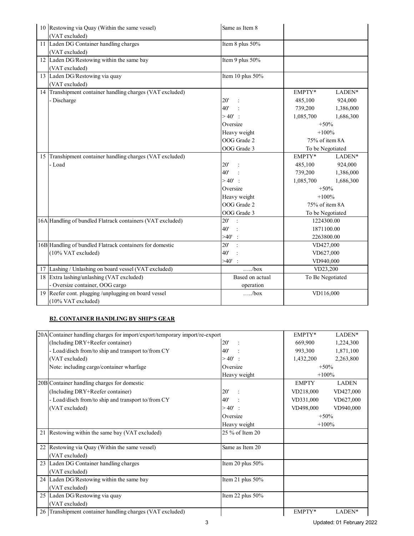|    | 10 Restowing via Quay (Within the same vessel)             | Same as Item 8        |                  |           |  |
|----|------------------------------------------------------------|-----------------------|------------------|-----------|--|
|    | (VAT excluded)                                             |                       |                  |           |  |
|    | 11 Laden DG Container handling charges                     | Item 8 plus 50%       |                  |           |  |
|    | (VAT excluded)                                             |                       |                  |           |  |
|    | 12 Laden DG/Restowing within the same bay                  | Item 9 plus 50%       |                  |           |  |
|    | (VAT excluded)                                             |                       |                  |           |  |
| 13 | Laden DG/Restowing via quay                                | Item 10 plus 50%      |                  |           |  |
|    | (VAT excluded)                                             |                       |                  |           |  |
|    | 14 Transhipment container handling charges (VAT excluded)  |                       | EMPTY*           | LADEN*    |  |
|    | - Discharge                                                | 20'                   | 485,100          | 924,000   |  |
|    |                                                            | 40'                   | 739,200          | 1,386,000 |  |
|    |                                                            | $>40'$ :              | 1,085,700        | 1,686,300 |  |
|    |                                                            | Oversize              | $+50%$           |           |  |
|    |                                                            | Heavy weight          | $+100%$          |           |  |
|    |                                                            | OOG Grade 2           | 75% of item 8A   |           |  |
|    |                                                            | OOG Grade 3           | To be Negotiated |           |  |
| 15 | Transhipment container handling charges (VAT excluded)     |                       | EMPTY*           | LADEN*    |  |
|    | - Load                                                     | 20'                   | 485,100          | 924,000   |  |
|    |                                                            | 40'                   | 739,200          | 1,386,000 |  |
|    |                                                            | $>40'$ :              | 1,085,700        | 1,686,300 |  |
|    |                                                            | Oversize              | $+50%$           |           |  |
|    |                                                            | Heavy weight          | $+100%$          |           |  |
|    |                                                            | OOG Grade 2           | 75% of item 8A   |           |  |
|    |                                                            | OOG Grade 3           | To be Negotiated |           |  |
|    | 16A Handling of bundled Flatrack containers (VAT excluded) | 20'<br>$\rightarrow$  | 1224300.00       |           |  |
|    |                                                            | 40'<br>$\cdot$ :      | 1871100.00       |           |  |
|    |                                                            | $>40'$ :              | 2263800.00       |           |  |
|    | 16B Handling of bundled Flatrack containers for domestic   | 20'<br>$\ddot{\cdot}$ | VD427,000        |           |  |
|    | (10% VAT excluded)                                         | 40'                   |                  | VD627,000 |  |
|    |                                                            | $>40'$ :              |                  | VD940,000 |  |
|    | 17 Lashing / Unlashing on board vessel (VAT excluded)      | $\dots/box$           | VD23,200         |           |  |
| 18 | Extra lashing/unlashing (VAT excluded)                     | Based on actual       | To Be Negotiated |           |  |
|    | - Oversize container, OOG cargo                            | operation             |                  |           |  |
|    | 19 Reefer cont. plugging/unplugging on board vessel        | /box                  | VD116,000        |           |  |
|    | (10% VAT excluded)                                         |                       |                  |           |  |

#### **B2. CONTAINER HANDLING BY SHIP'S GEAR**

|    | 20A Container handling charges for import/export/temporary import/re-export |                     | EMPTY*       | LADEN*       |
|----|-----------------------------------------------------------------------------|---------------------|--------------|--------------|
|    | (Including DRY+Reefer container)                                            | 20'                 | 669,900      | 1,224,300    |
|    | - Load/disch from/to ship and transport to/from CY                          | 40'                 | 993,300      | 1,871,100    |
|    | (VAT excluded)                                                              | $>40'$ :            | 1,432,200    | 2,263,800    |
|    | Note: including cargo/container wharfage                                    | Oversize            | $+50%$       |              |
|    |                                                                             | Heavy weight        | $+100%$      |              |
|    | 20B Container handling charges for domestic                                 |                     | <b>EMPTY</b> | <b>LADEN</b> |
|    | (Including DRY+Reefer container)                                            | 20'                 | VD218,000    | VD427,000    |
|    | - Load/disch from/to ship and transport to/from CY                          | 40'                 | VD331,000    | VD627,000    |
|    | (VAT excluded)                                                              | $>40'$ :            | VD498,000    | VD940,000    |
|    |                                                                             | Oversize            | $+50%$       |              |
|    |                                                                             | Heavy weight        | $+100%$      |              |
| 21 | Restowing within the same bay (VAT excluded)                                | 25 % of Item 20     |              |              |
|    |                                                                             |                     |              |              |
| 22 | Restowing via Quay (Within the same vessel)                                 | Same as Item 20     |              |              |
|    | (VAT excluded)                                                              |                     |              |              |
|    | 23 Laden DG Container handling charges                                      | Item 20 plus 50%    |              |              |
|    | (VAT excluded)                                                              |                     |              |              |
|    | 24 Laden DG/Restowing within the same bay                                   | Item 21 plus $50\%$ |              |              |
|    | (VAT excluded)                                                              |                     |              |              |
|    | 25 Laden DG/Restowing via quay                                              | Item 22 plus 50%    |              |              |
|    | (VAT excluded)                                                              |                     |              |              |
|    | 26 Transhipment container handling charges (VAT excluded)                   |                     | EMPTY*       | LADEN*       |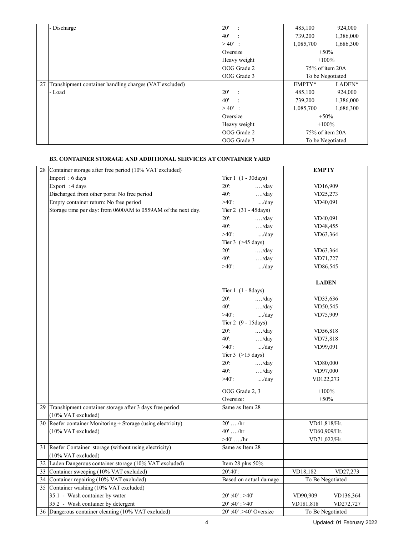|    | - Discharge                                            | 20'          | 485,100                             | 924,000   |
|----|--------------------------------------------------------|--------------|-------------------------------------|-----------|
|    |                                                        | 40'          | 739,200                             | 1,386,000 |
|    |                                                        | $>40'$ :     | 1,085,700                           | 1,686,300 |
|    |                                                        | Oversize     | $+50\%$                             |           |
|    |                                                        | Heavy weight | $+100%$                             |           |
|    |                                                        | OOG Grade 2  | 75% of item 20A                     |           |
|    |                                                        | OOG Grade 3  | To be Negotiated                    |           |
| 27 | Transhipment container handling charges (VAT excluded) |              | EMPTY*                              | LADEN*    |
|    | - Load                                                 | 20'          | 485,100                             | 924,000   |
|    |                                                        | 40'          | 739,200                             | 1,386,000 |
|    |                                                        | $>40'$ :     | 1,085,700                           | 1,686,300 |
|    |                                                        | Oversize     | $+50\%$                             |           |
|    |                                                        | Heavy weight | $+100%$                             |           |
|    |                                                        | OOG Grade 2  | 75% of item 20A<br>To be Negotiated |           |
|    |                                                        | OOG Grade 3  |                                     |           |

# **B3. CONTAINER STORAGE AND ADDITIONAL SERVICES AT CONTAINER YARD**

| 28 | Container storage after free period (10% VAT excluded)       |                              | <b>EMPTY</b>           |  |
|----|--------------------------------------------------------------|------------------------------|------------------------|--|
|    | Import: 6 days                                               | Tier $1(1 - 30 \text{days})$ |                        |  |
|    | Export: 4 days                                               | $20$ :<br>$\dots$ ./day      | VD16,909               |  |
|    | Discharged from other ports: No free period                  | $40$ .<br>$\dots$ ./day      | VD25,273               |  |
|    | Empty container return: No free period                       | $>40$ .<br>/day              | VD40,091               |  |
|    | Storage time per day: from 0600AM to 0559AM of the next day. | Tier 2 (31 - 45 days)        |                        |  |
|    |                                                              | $20$ :<br>$\dots$ ./day      | VD40,091               |  |
|    |                                                              | $40$ .<br>$\dots$ ./day      | VD48,455               |  |
|    |                                                              | $>40$ .<br>/day              | VD63,364               |  |
|    |                                                              | Tier $3$ ( $>45$ days)       |                        |  |
|    |                                                              | $20$ :<br>$\dots$ ./day      | VD63,364               |  |
|    |                                                              | $40$ .<br>$\dots$ ./day      | VD71,727               |  |
|    |                                                              | $>40$ .<br>/day              | VD86,545               |  |
|    |                                                              |                              |                        |  |
|    |                                                              |                              | <b>LADEN</b>           |  |
|    |                                                              | Tier $1(1 - 8 \text{days})$  |                        |  |
|    |                                                              | $20$ :<br>$\dots$ ./day      | VD33,636               |  |
|    |                                                              | $40$ .<br>$\dots$ /day       | VD50,545               |  |
|    |                                                              | $>40$ .<br>/day              | VD75,909               |  |
|    |                                                              | Tier 2 (9 - 15 days)         |                        |  |
|    |                                                              | $20$ :<br>$\dots$ ./day      | VD56,818               |  |
|    |                                                              | $40$ .<br>$\dots$ ./day      | VD73,818               |  |
|    |                                                              | $>40$ .<br>/day              | VD99,091               |  |
|    |                                                              | Tier $3$ ( $>15$ days)       |                        |  |
|    |                                                              | $20$ :<br>$\dots$ /day       | VD80,000               |  |
|    |                                                              | 40:<br>$\dots$ ./day         | VD97,000               |  |
|    |                                                              | $>40$ .<br>/day              | VD122,273              |  |
|    |                                                              | OOG Grade 2, 3               | $+100%$                |  |
|    |                                                              | Oversize:                    | $+50%$                 |  |
|    | 29 Transhipment container storage after 3 days free period   | Same as Item 28              |                        |  |
|    | (10% VAT excluded)                                           |                              |                        |  |
| 30 | Reefer container Monitoring + Storage (using electricity)    | $20'$ /hr                    | VD41,818/Hr.           |  |
|    | (10% VAT excluded)                                           | $40'$ /hr                    | VD60,909/Hr.           |  |
|    |                                                              | >40'  / hr                   | VD71,022/Hr.           |  |
| 31 | Reefer Container storage (without using electricity)         | Same as Item 28              |                        |  |
|    | (10% VAT excluded)                                           |                              |                        |  |
|    | 32 Laden Dangerous container storage (10% VAT excluded)      | Item 28 plus 50%             |                        |  |
| 33 | Container sweeping (10% VAT excluded)                        | 20':40':                     | VD18,182<br>VD27,273   |  |
|    | 34 Container repairing (10% VAT excluded)                    | Based on actual damage       | To Be Negotiated       |  |
| 35 | Container washing (10% VAT excluded)                         |                              |                        |  |
|    | 35.1 - Wash container by water                               | $20'$ :40': >40'             | VD90,909<br>VD136,364  |  |
|    | 35.2 - Wash container by detergent                           | $20'$ :40': >40'             | VD181,818<br>VD272,727 |  |
|    | 36 Dangerous container cleaning (10% VAT excluded)           | 20':40':>40' Oversize        | To Be Negotiated       |  |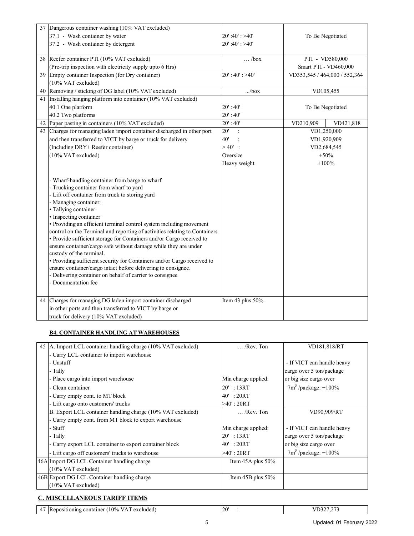|    | 37 Dangerous container washing (10% VAT excluded)                                                                                        |                   |                               |  |
|----|------------------------------------------------------------------------------------------------------------------------------------------|-------------------|-------------------------------|--|
|    | 37.1 - Wash container by water                                                                                                           | $20'$ :40': >40'  | To Be Negotiated              |  |
|    | 37.2 - Wash container by detergent                                                                                                       | $20'$ :40': >40'  |                               |  |
|    |                                                                                                                                          |                   |                               |  |
|    | 38 Reefer container PTI (10% VAT excluded)                                                                                               | $\ldots$ /box     | PTI - VD580,000               |  |
|    | (Pre-trip inspection with electricity supply upto 6 Hrs)                                                                                 |                   | Smart PTI - VD460,000         |  |
|    | 39 Empty container Inspection (for Dry container)                                                                                        | $20$ ': 40': >40' | VD353,545 / 464,000 / 552,364 |  |
|    | (10% VAT excluded)                                                                                                                       |                   |                               |  |
| 40 | Removing / sticking of DG label (10% VAT excluded)                                                                                       | /box              | VD105,455                     |  |
|    | 41 Installing hanging platform into container (10% VAT excluded)                                                                         |                   |                               |  |
|    | 40.1 One platform                                                                                                                        | $20'$ : 40'       | To Be Negotiated              |  |
|    | 40.2 Two platforms                                                                                                                       | 20' : 40'         |                               |  |
|    | 42 Paper pasting in containers (10% VAT excluded)                                                                                        | 20' : 40'         | VD210,909<br>VD421,818        |  |
|    | 43 Charges for managing laden import container discharged in other port                                                                  | $20^{\circ}$      | VD1,250,000                   |  |
|    | and then transferred to VICT by barge or truck for delivery                                                                              | 40'               | VD1,920,909                   |  |
|    | (Including DRY+ Reefer container)                                                                                                        | $>40'$ :          | VD2,684,545                   |  |
|    | (10% VAT excluded)                                                                                                                       | Oversize          | $+50%$                        |  |
|    |                                                                                                                                          | Heavy weight      | $+100%$                       |  |
|    |                                                                                                                                          |                   |                               |  |
|    | - Wharf-handling container from barge to wharf                                                                                           |                   |                               |  |
|    | - Trucking container from wharf to yard                                                                                                  |                   |                               |  |
|    | - Lift off container from truck to storing yard                                                                                          |                   |                               |  |
|    | - Managing container:                                                                                                                    |                   |                               |  |
|    | • Tallying container                                                                                                                     |                   |                               |  |
|    | · Inspecting container                                                                                                                   |                   |                               |  |
|    | • Providing an efficient terminal control system including movement                                                                      |                   |                               |  |
|    | control on the Terminal and reporting of activities relating to Containers                                                               |                   |                               |  |
|    | · Provide sufficient storage for Containers and/or Cargo received to                                                                     |                   |                               |  |
|    | ensure container/cargo safe without damage while they are under                                                                          |                   |                               |  |
|    | custody of the terminal.                                                                                                                 |                   |                               |  |
|    | • Providing sufficient security for Containers and/or Cargo received to<br>ensure container/cargo intact before delivering to consignee. |                   |                               |  |
|    | - Delivering container on behalf of carrier to consignee                                                                                 |                   |                               |  |
|    | - Documentation fee                                                                                                                      |                   |                               |  |
|    |                                                                                                                                          |                   |                               |  |
|    | 44 Charges for managing DG laden import container discharged                                                                             | Item 43 plus 50%  |                               |  |
|    | in other ports and then transferred to VICT by barge or                                                                                  |                   |                               |  |
|    |                                                                                                                                          |                   |                               |  |
|    | truck for delivery (10% VAT excluded)                                                                                                    |                   |                               |  |

#### **B4. CONTAINER HANDLING AT WAREHOUSES**

| 45 A. Import LCL container handling charge (10% VAT excluded) | $\ldots$ /Rev. Ton     | VD181,818/RT               |
|---------------------------------------------------------------|------------------------|----------------------------|
| - Carry LCL container to import warehouse                     |                        |                            |
| - Unstuff                                                     |                        | - If VICT can handle heavy |
| - Tally                                                       |                        | cargo over 5 ton/package   |
| - Place cargo into import warehouse                           | Min charge applied:    | or big size cargo over     |
| - Clean container                                             | $20'$ : 13RT           | $7m^3$ /package: +100%     |
| - Carry empty cont. to MT block                               | $40'$ : 20RT           |                            |
| - Lift cargo onto customers' trucks                           | $>40$ ' : 20RT         |                            |
| B. Export LCL container handling charge (10% VAT excluded)    | $\ldots$ /Rev. Ton     | VD90,909/RT                |
| - Carry empty cont. from MT block to export warehouse         |                        |                            |
| - Stuff                                                       | Min charge applied:    | - If VICT can handle heavy |
| - Tally                                                       | $20'$ : 13RT           | cargo over 5 ton/package   |
| - Carry export LCL container to export container block        | $40'$ : 20RT           | or big size cargo over     |
| - Lift cargo off customers' trucks to warehouse               | $>40'$ : 20RT          | $7m3$ /package: +100%      |
| 46A Import DG LCL Container handling charge                   | Item $45A$ plus $50\%$ |                            |
| $(10\% \text{ VAT excluded})$                                 |                        |                            |
| 46B Export DG LCL Container handling charge                   | Item $45B$ plus $50\%$ |                            |
| $(10\% \text{ VAT excluded})$                                 |                        |                            |

### **C. MISCELLANEOUS TARIFF ITEMS**

47 Repositioning container (10% VAT excluded) 20' :

 $\overline{\phantom{a}}$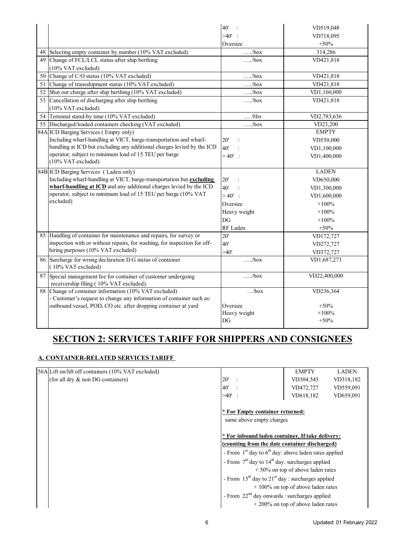|    |                                                                          | 40'                   | VD519,048    |
|----|--------------------------------------------------------------------------|-----------------------|--------------|
|    |                                                                          | >40'                  | VD718,095    |
|    |                                                                          | Oversize              | $+50%$       |
|    | 48 Selecting empty container by number (10% VAT excluded)                | /box                  | 314,286      |
|    | 49 Change of FCL/LCL status after ship berthing                          | /box                  | VD421,818    |
|    | (10% VAT excluded)                                                       |                       |              |
| 50 | Change of C/O status (10% VAT excluded)                                  | $\dots/b$ ox          | VD421,818    |
| 51 | Change of transshipment status (10% VAT excluded)                        | $\dots/box$           | VD421,818    |
| 52 | Shut out charge after ship berthing (10% VAT excluded)                   | $\dots/b$ ox          | VD1,160,000  |
|    | 53 Cancellation of discharging after ship berthing                       | $\dots/b$ ox          | VD421,818    |
|    | (10% VAT excluded)                                                       |                       |              |
| 54 | Terminal stand-by time (10% VAT excluded)                                | $\ldots$ /Hrs         | VD2,783,636  |
|    | 55 Discharged/loaded containers checking (VAT excluded)                  | /box                  | VD23,200     |
|    | 84A ICD Barging Services (Empty only)                                    |                       | <b>EMPTY</b> |
|    | Including wharf-handling at VICT, barge-transportation and wharf-        | 20'<br>$\ddot{\cdot}$ | VD550,000    |
|    | handling at ICD but excluding any additional charges levied by the ICD   | 40'                   | VD1,100,000  |
|    | operator, subject to minimum load of 15 TEU per barge                    | $>40'$ :              | VD1,400,000  |
|    | (10% VAT excluded)                                                       |                       |              |
|    | 84B ICD Barging Services (Laden only)                                    |                       | <b>LADEN</b> |
|    | Including wharf-handling at VICT, barge-transportation but excluding     | 20'                   | VD650,000    |
|    | wharf-handling at ICD and any additional charges levied by the ICD       | 40'                   | VD1,300,000  |
|    | operator, subject to minimum load of 15 TEU per barge (10% VAT           | $>40'$ :              | VD1,600,000  |
|    | excluded)                                                                | Oversize              | $+100%$      |
|    |                                                                          | Heavy weight          | $+100%$      |
|    |                                                                          | DG                    | $+100%$      |
|    |                                                                          | RF Laden              | $+50%$       |
|    | 85 Handling of container for maintenance and repairs, for survey or      | 20'                   | VD172,727    |
|    | inspection with or without repairs, for washing, for inspection for off- | 40'                   | VD272,727    |
|    | hiring purposes (10% VAT excluded)                                       | >40'                  | VD372,727    |
|    | 86 Surcharge for wrong declaration D.G status of container               | $\dots/b$ ox          | VD1,687,273  |
|    | (10% VAT excluded)                                                       |                       |              |
| 87 | Special management fee for container of customer undergoing              | /box                  | VD22,400,000 |
|    | receivership filing (10% VAT excluded).                                  |                       |              |
|    | 88 Change of container information (10% VAT excluded)                    | /box                  | VD236,364    |
|    | - Customer's request to change any information of container such as:     |                       |              |
|    | outbound vessel, POD, CO etc. after dropping container at yard           | Oversize              | $+50%$       |
|    |                                                                          | Heavy weight          | $+100%$      |
|    |                                                                          | DG                    | $+50%$       |

# **SECTION 2: SERVICES TARIFF FOR SHIPPERS AND CONSIGNEES**

### **A. CONTAINER-RELATED SERVICES TARIFF**

| 56A Lift on/lift off containers (10% VAT excluded) |      | <b>EMPTY</b>                                                 | <b>LADEN</b> |  |  |
|----------------------------------------------------|------|--------------------------------------------------------------|--------------|--|--|
| (for all dry & non DG containers)                  | 20'  | VD304,545                                                    | VD318,182    |  |  |
|                                                    | 40'  | VD472,727                                                    | VD559,091    |  |  |
|                                                    | >40' | VD618,182                                                    | VD659,091    |  |  |
|                                                    |      | * For Empty container returned:<br>same above empty charges  |              |  |  |
|                                                    |      | * For inbound laden container, If take delivery:             |              |  |  |
|                                                    |      | (counting from the date container discharged)                |              |  |  |
|                                                    |      | - From $1st$ day to $6th$ day: above laden rates applied     |              |  |  |
|                                                    |      | - From $7th$ day to 14 <sup>th</sup> day: surcharges applied |              |  |  |
|                                                    |      | $+50\%$ on top of above laden rates                          |              |  |  |
|                                                    |      | - From $15^{th}$ day to $21^{st}$ day : surcharges applied   |              |  |  |
|                                                    |      | $+100\%$ on top of above laden rates                         |              |  |  |
|                                                    |      | - From 22 <sup>nd</sup> day onwards : surcharges applied     |              |  |  |
|                                                    |      | $+200\%$ on top of above laden rates                         |              |  |  |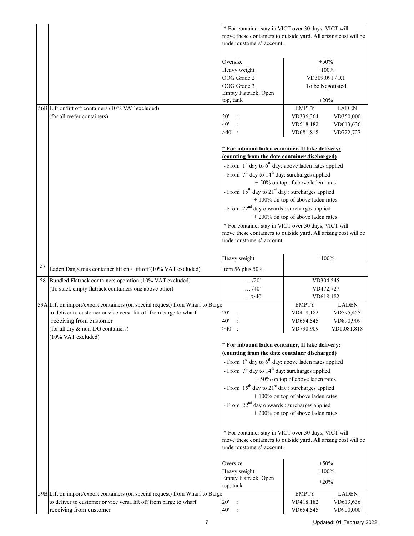|    |                                                                                   | * For container stay in VICT over 30 days, VICT will<br>move these containers to outside yard. All arising cost will be<br>under customers' account. |                                      |                        |
|----|-----------------------------------------------------------------------------------|------------------------------------------------------------------------------------------------------------------------------------------------------|--------------------------------------|------------------------|
|    |                                                                                   | Oversize<br>Heavy weight                                                                                                                             | $+50%$<br>$+100%$                    |                        |
|    |                                                                                   | OOG Grade 2<br>OOG Grade 3                                                                                                                           | VD309,091 / RT                       | To be Negotiated       |
|    |                                                                                   | Empty Flatrack, Open                                                                                                                                 |                                      |                        |
|    |                                                                                   | top, tank                                                                                                                                            | $+20%$                               |                        |
|    | 56B Lift on/lift off containers (10% VAT excluded)<br>(for all reefer containers) |                                                                                                                                                      | <b>EMPTY</b>                         | <b>LADEN</b>           |
|    |                                                                                   | $20^{\circ}$<br>40'                                                                                                                                  | VD336,364<br>VD518,182               | VD350,000<br>VD613,636 |
|    |                                                                                   | $>40'$ :                                                                                                                                             | VD681,818                            | VD722,727              |
|    |                                                                                   |                                                                                                                                                      |                                      |                        |
|    |                                                                                   | * For inbound laden container, If take delivery:                                                                                                     |                                      |                        |
|    |                                                                                   | (counting from the date container discharged)<br>- From $1st$ day to $6th$ day: above laden rates applied                                            |                                      |                        |
|    |                                                                                   | - From $7th$ day to $14th$ day: surcharges applied                                                                                                   |                                      |                        |
|    |                                                                                   |                                                                                                                                                      | +50% on top of above laden rates     |                        |
|    |                                                                                   | - From 15 <sup>th</sup> day to 21 <sup>st</sup> day : surcharges applied                                                                             |                                      |                        |
|    |                                                                                   |                                                                                                                                                      | $+100\%$ on top of above laden rates |                        |
|    |                                                                                   | - From $22^{nd}$ day onwards : surcharges applied                                                                                                    | $+200\%$ on top of above laden rates |                        |
|    |                                                                                   | * For container stay in VICT over 30 days, VICT will                                                                                                 |                                      |                        |
|    |                                                                                   | move these containers to outside yard. All arising cost will be<br>under customers' account.                                                         |                                      |                        |
|    |                                                                                   | Heavy weight                                                                                                                                         | $+100%$                              |                        |
| 57 | Laden Dangerous container lift on / lift off (10% VAT excluded)                   | Item 56 plus 50%                                                                                                                                     |                                      |                        |
|    | 58 Bundled Flatrack containers operation (10% VAT excluded)                       | $\ldots$ /20'                                                                                                                                        | VD304,545                            |                        |
|    | (To stack empty flatrack containers one above other)                              | $\ldots$ /40'<br>$\dots$ />40'                                                                                                                       | VD472,727<br>VD618,182               |                        |
|    | 59A Lift on import/export containers (on special request) from Wharf to Barge     |                                                                                                                                                      | <b>EMPTY</b>                         | <b>LADEN</b>           |
|    | to deliver to customer or vice versa lift off from barge to wharf                 | $20^{\circ}$                                                                                                                                         | VD418,182                            | VD595,455              |
|    | receiving from customer                                                           | 40'                                                                                                                                                  | VD654,545                            | VD890,909              |
|    | (for all dry & non-DG containers)<br>(10% VAT excluded)                           | $>40^\circ$ :                                                                                                                                        | VD790,909                            | VD1,081,818            |
|    |                                                                                   | * For inbound laden container, If take delivery:                                                                                                     |                                      |                        |
|    |                                                                                   | (counting from the date container discharged)                                                                                                        |                                      |                        |
|    |                                                                                   | - From $1st$ day to $6th$ day: above laden rates applied                                                                                             |                                      |                        |
|    |                                                                                   | - From $7th$ day to $14th$ day: surcharges applied                                                                                                   |                                      |                        |
|    |                                                                                   |                                                                                                                                                      | $+50\%$ on top of above laden rates  |                        |
|    |                                                                                   | - From $15th$ day to $21st$ day : surcharges applied                                                                                                 | $+100\%$ on top of above laden rates |                        |
|    |                                                                                   | - From 22 <sup>nd</sup> day onwards : surcharges applied                                                                                             |                                      |                        |
|    |                                                                                   |                                                                                                                                                      | + 200% on top of above laden rates   |                        |
|    |                                                                                   | * For container stay in VICT over 30 days, VICT will<br>move these containers to outside yard. All arising cost will be<br>under customers' account. |                                      |                        |
|    |                                                                                   | Oversize                                                                                                                                             | $+50%$                               |                        |
|    |                                                                                   | Heavy weight                                                                                                                                         | $+100%$                              |                        |
|    |                                                                                   | Empty Flatrack, Open                                                                                                                                 | $+20%$                               |                        |
|    | 59B Lift on import/export containers (on special request) from Wharf to Barge     | top, tank                                                                                                                                            | <b>EMPTY</b>                         | <b>LADEN</b>           |
|    | to deliver to customer or vice versa lift off from barge to wharf                 | 20'                                                                                                                                                  | VD418,182                            | VD613,636              |
|    | receiving from customer                                                           | 40'<br>$\ddot{\cdot}$                                                                                                                                | VD654,545                            | VD900,000              |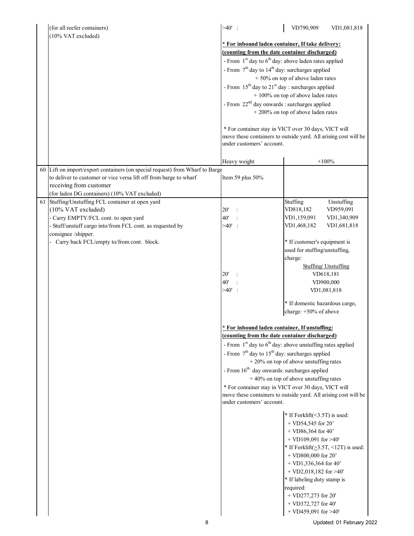|    | (for all reefer containers)                                                                     | $>40'$ :                                                                                                                | VD790,909                                      | VD1,081,818                                |
|----|-------------------------------------------------------------------------------------------------|-------------------------------------------------------------------------------------------------------------------------|------------------------------------------------|--------------------------------------------|
|    | (10% VAT excluded)                                                                              |                                                                                                                         |                                                |                                            |
|    |                                                                                                 | * For inbound laden container, If take delivery:                                                                        |                                                |                                            |
|    |                                                                                                 | (counting from the date container discharged)                                                                           |                                                |                                            |
|    |                                                                                                 | - From $1st$ day to $6th$ day: above laden rates applied                                                                |                                                |                                            |
|    |                                                                                                 | - From $7th$ day to $14th$ day: surcharges applied                                                                      |                                                |                                            |
|    |                                                                                                 |                                                                                                                         | $+50\%$ on top of above laden rates            |                                            |
|    |                                                                                                 | - From $15^{th}$ day to $21^{st}$ day : surcharges applied                                                              |                                                |                                            |
|    |                                                                                                 |                                                                                                                         | $+100\%$ on top of above laden rates           |                                            |
|    |                                                                                                 | - From 22 <sup>nd</sup> day onwards : surcharges applied                                                                |                                                |                                            |
|    |                                                                                                 |                                                                                                                         | $+200\%$ on top of above laden rates           |                                            |
|    |                                                                                                 | * For container stay in VICT over 30 days, VICT will                                                                    |                                                |                                            |
|    |                                                                                                 | move these containers to outside yard. All arising cost will be                                                         |                                                |                                            |
|    |                                                                                                 | under customers' account.                                                                                               |                                                |                                            |
|    |                                                                                                 |                                                                                                                         |                                                |                                            |
|    |                                                                                                 | Heavy weight                                                                                                            |                                                | $+100%$                                    |
| 60 | Lift on import/export containers (on special request) from Wharf to Barge                       |                                                                                                                         |                                                |                                            |
|    | to deliver to customer or vice versa lift off from barge to wharf                               | Item 59 plus 50%                                                                                                        |                                                |                                            |
|    | receiving from customer                                                                         |                                                                                                                         |                                                |                                            |
|    | (for laden DG containers) (10% VAT excluded)                                                    |                                                                                                                         |                                                |                                            |
|    | 61 Stuffing/Unstuffing FCL container at open yard                                               |                                                                                                                         | Stuffing                                       | Unstuffing                                 |
|    | (10% VAT excluded)                                                                              | 20'<br>40'                                                                                                              | VD818,182<br>VD1,159,091                       | VD959,091<br>VD1,340,909                   |
|    | - Carry EMPTY/FCL cont. to open yard<br>Stuff/unstuff cargo into/from FCL cont. as requested by | $>40'$ :                                                                                                                | VD1,468,182                                    | VD1,681,818                                |
|    | consignee /shipper.                                                                             |                                                                                                                         |                                                |                                            |
|    | Carry back FCL/empty to/from cont. block.                                                       |                                                                                                                         | * If customer's equipment is                   |                                            |
|    |                                                                                                 |                                                                                                                         | used for stuffing/unstuffing,                  |                                            |
|    |                                                                                                 |                                                                                                                         | charge:                                        |                                            |
|    |                                                                                                 |                                                                                                                         |                                                | <b>Stuffing</b> Unstuffing                 |
|    |                                                                                                 | 20'                                                                                                                     |                                                | VD618,181                                  |
|    |                                                                                                 | 40'                                                                                                                     |                                                | VD900,000                                  |
|    |                                                                                                 | $>40'$ :                                                                                                                |                                                | VD1,081,818                                |
|    |                                                                                                 |                                                                                                                         | * If domestic hazardous cargo,                 |                                            |
|    |                                                                                                 |                                                                                                                         | charge: +50% of above                          |                                            |
|    |                                                                                                 |                                                                                                                         |                                                |                                            |
|    |                                                                                                 | * For inbound laden container, If unstuffing:                                                                           |                                                |                                            |
|    |                                                                                                 | (counting from the date container discharged)                                                                           |                                                |                                            |
|    |                                                                                                 | - From $1st$ day to $6th$ day: above unstuffing rates applied                                                           |                                                |                                            |
|    |                                                                                                 | - From $7th$ day to $15th$ day: surcharges applied                                                                      |                                                |                                            |
|    |                                                                                                 |                                                                                                                         | $+20\%$ on top of above unstuffing rates       |                                            |
|    |                                                                                                 | - From $16th$ day onwards: surcharges applied                                                                           |                                                |                                            |
|    |                                                                                                 |                                                                                                                         | $+40\%$ on top of above unstuffing rates       |                                            |
|    |                                                                                                 | * For container stay in VICT over 30 days, VICT will<br>move these containers to outside yard. All arising cost will be |                                                |                                            |
|    |                                                                                                 | under customers' account.                                                                                               |                                                |                                            |
|    |                                                                                                 |                                                                                                                         |                                                |                                            |
|    |                                                                                                 |                                                                                                                         | * If Forklift(<3.5T) is used:                  |                                            |
|    |                                                                                                 |                                                                                                                         | $+$ VD54,545 for 20'                           |                                            |
|    |                                                                                                 |                                                                                                                         | $+$ VD86,364 for 40'                           |                                            |
|    |                                                                                                 |                                                                                                                         | + VD109,091 for $>40'$                         |                                            |
|    |                                                                                                 |                                                                                                                         |                                                | * If Forklift( $\geq$ 3.5T, <12T) is used: |
|    |                                                                                                 |                                                                                                                         | + VD800,000 for 20'<br>$+$ VD1,336,364 for 40' |                                            |
|    |                                                                                                 |                                                                                                                         | $+$ VD2,018,182 for >40'                       |                                            |
|    |                                                                                                 |                                                                                                                         | * If labeling duty stamp is                    |                                            |
|    |                                                                                                 |                                                                                                                         | required:                                      |                                            |
|    |                                                                                                 |                                                                                                                         | $+$ VD277,273 for 20'                          |                                            |
|    |                                                                                                 |                                                                                                                         | + VD372,727 for 40'                            |                                            |
|    |                                                                                                 |                                                                                                                         | + VD459,091 for $>40'$                         |                                            |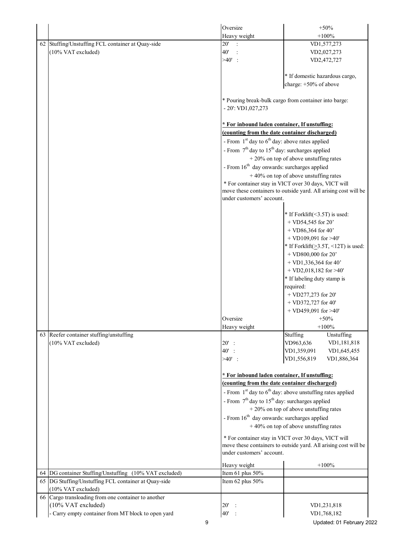|  |                                                        | Oversize                      | $+50%$                                                          |  |  |  |
|--|--------------------------------------------------------|-------------------------------|-----------------------------------------------------------------|--|--|--|
|  |                                                        | Heavy weight                  | $+100%$                                                         |  |  |  |
|  | 62 Stuffing/Unstuffing FCL container at Quay-side      | 20'<br>$\mathbb{R}^2$         | VD1,577,273                                                     |  |  |  |
|  | (10% VAT excluded)                                     | 40'                           | VD2,027,273                                                     |  |  |  |
|  |                                                        | $>40'$ :                      | VD2,472,727                                                     |  |  |  |
|  |                                                        |                               |                                                                 |  |  |  |
|  |                                                        |                               | * If domestic hazardous cargo,                                  |  |  |  |
|  |                                                        |                               | charge: +50% of above                                           |  |  |  |
|  |                                                        | $-20$ : VD1,027,273           | * Pouring break-bulk cargo from container into barge:           |  |  |  |
|  |                                                        |                               | * For inbound laden container, If unstuffing:                   |  |  |  |
|  |                                                        |                               | (counting from the date container discharged)                   |  |  |  |
|  |                                                        |                               | - From $1st$ day to $6th$ day: above rates applied              |  |  |  |
|  |                                                        |                               | - From $7th$ day to $15th$ day: surcharges applied              |  |  |  |
|  |                                                        |                               | $+20\%$ on top of above unstuffing rates                        |  |  |  |
|  |                                                        |                               | - From $16th$ day onwards: surcharges applied                   |  |  |  |
|  |                                                        |                               | $+40\%$ on top of above unstuffing rates                        |  |  |  |
|  |                                                        |                               | * For container stay in VICT over 30 days, VICT will            |  |  |  |
|  |                                                        |                               | move these containers to outside yard. All arising cost will be |  |  |  |
|  |                                                        | under customers' account.     |                                                                 |  |  |  |
|  |                                                        |                               | * If Forklift(<3.5T) is used:                                   |  |  |  |
|  |                                                        |                               | $+$ VD54,545 for 20'                                            |  |  |  |
|  |                                                        |                               | $+$ VD86,364 for 40'                                            |  |  |  |
|  |                                                        |                               | + VD109,091 for $>40'$                                          |  |  |  |
|  |                                                        |                               | * If Forklift( $\geq$ 3.5T, <12T) is used:                      |  |  |  |
|  |                                                        |                               | + VD800,000 for 20'                                             |  |  |  |
|  |                                                        |                               | $+$ VD1,336,364 for 40'<br>+ VD2,018,182 for $>40'$             |  |  |  |
|  |                                                        |                               |                                                                 |  |  |  |
|  |                                                        |                               | * If labeling duty stamp is<br>required:                        |  |  |  |
|  |                                                        |                               | $+$ VD277,273 for 20'                                           |  |  |  |
|  |                                                        |                               | $+$ VD372,727 for 40'                                           |  |  |  |
|  |                                                        |                               | + VD459,091 for $>40'$                                          |  |  |  |
|  |                                                        | Oversize                      | $+50%$                                                          |  |  |  |
|  |                                                        | Heavy weight                  | $+100%$                                                         |  |  |  |
|  | 63 Reefer container stuffing/unstuffing                |                               | Stuffing<br>Unstuffing                                          |  |  |  |
|  | (10% VAT excluded)                                     | $20'$ :                       | VD963,636<br>VD1,181,818                                        |  |  |  |
|  |                                                        | 40':                          | VD1,359,091<br>VD1,645,455                                      |  |  |  |
|  |                                                        | $>40'$ :                      | VD1,556,819<br>VD1,886,364                                      |  |  |  |
|  |                                                        |                               | * For inbound laden container, If unstuffing:                   |  |  |  |
|  |                                                        |                               | (counting from the date container discharged)                   |  |  |  |
|  |                                                        |                               | - From $1st$ day to $6th$ day: above unstuffing rates applied   |  |  |  |
|  |                                                        |                               | - From $7th$ day to $15th$ day: surcharges applied              |  |  |  |
|  |                                                        |                               | $+20\%$ on top of above unstuffing rates                        |  |  |  |
|  |                                                        |                               | - From 16 <sup>th</sup> day onwards: surcharges applied         |  |  |  |
|  |                                                        |                               | $+40\%$ on top of above unstuffing rates                        |  |  |  |
|  |                                                        |                               | * For container stay in VICT over 30 days, VICT will            |  |  |  |
|  |                                                        | under customers' account.     | move these containers to outside yard. All arising cost will be |  |  |  |
|  |                                                        | Heavy weight                  | $+100%$                                                         |  |  |  |
|  | 64 DG container Stuffing/Unstuffing (10% VAT excluded) | Item 61 plus 50%              |                                                                 |  |  |  |
|  | 65 DG Stuffing/Unstuffing FCL container at Quay-side   | Item 62 plus 50%              |                                                                 |  |  |  |
|  | (10% VAT excluded)                                     |                               |                                                                 |  |  |  |
|  | 66 Cargo transloading from one container to another    |                               |                                                                 |  |  |  |
|  | (10% VAT excluded)                                     | 20'<br>$\ddot{\phantom{0}}$ : | VD1,231,818                                                     |  |  |  |
|  | Carry empty container from MT block to open yard       | 40'<br>$\ddot{\phantom{0}}$ : | VD1,768,182                                                     |  |  |  |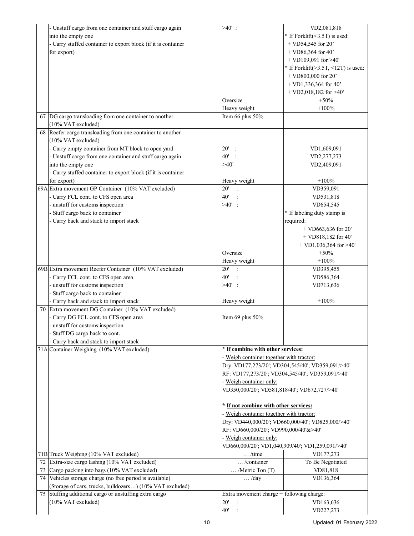|    | - Unstuff cargo from one container and stuff cargo again                         | $>40'$ :                                  | VD2,081,818                                       |  |
|----|----------------------------------------------------------------------------------|-------------------------------------------|---------------------------------------------------|--|
|    | into the empty one                                                               |                                           | * If Forklift(<3.5T) is used:                     |  |
|    | - Carry stuffed container to export block (if it is container                    |                                           | $+$ VD54,545 for 20'                              |  |
|    | for export)                                                                      |                                           | $+$ VD86,364 for 40'                              |  |
|    |                                                                                  |                                           | + VD109,091 for $>40'$                            |  |
|    |                                                                                  |                                           | * If Forklift( $\geq$ 3.5T, <12T) is used:        |  |
|    |                                                                                  |                                           | + VD800,000 for 20'                               |  |
|    |                                                                                  |                                           | $+$ VD1,336,364 for 40'                           |  |
|    |                                                                                  |                                           |                                                   |  |
|    |                                                                                  | Oversize                                  | $+$ VD2,018,182 for >40'                          |  |
|    |                                                                                  |                                           | $+50%$                                            |  |
|    |                                                                                  | Heavy weight                              | $+100%$                                           |  |
|    | 67 DG cargo transloading from one container to another<br>(10% VAT excluded)     | Item 66 plus 50%                          |                                                   |  |
|    | 68 Reefer cargo transloading from one container to another<br>(10% VAT excluded) |                                           |                                                   |  |
|    | - Carry empty container from MT block to open yard                               | 20'<br>$\ddot{\phantom{0}}$ :             | VD1,609,091                                       |  |
|    | - Unstuff cargo from one container and stuff cargo again                         | 40'                                       | VD2,277,273                                       |  |
|    | into the empty one                                                               | >40'                                      | VD2,409,091                                       |  |
|    | - Carry stuffed container to export block (if it is container                    |                                           |                                                   |  |
|    | for export)                                                                      | Heavy weight                              | $+100%$                                           |  |
|    | 69A Extra movement GP Container (10% VAT excluded)                               | 20'                                       | VD359,091                                         |  |
|    | - Carry FCL cont. to CFS open area                                               | 40'                                       | VD531,818                                         |  |
|    | - unstuff for customs inspection                                                 | $>40'$ :                                  | VD654,545                                         |  |
|    |                                                                                  |                                           |                                                   |  |
|    | - Stuff cargo back to container                                                  |                                           | * If labeling duty stamp is                       |  |
|    | - Carry back and stack to import stack                                           |                                           | required:                                         |  |
|    |                                                                                  |                                           | $+$ VD663,636 for 20'                             |  |
|    |                                                                                  |                                           | $+$ VD818,182 for 40'                             |  |
|    |                                                                                  |                                           | $+$ VD1,036,364 for >40'                          |  |
|    |                                                                                  | Oversize                                  | $+50%$                                            |  |
|    |                                                                                  | Heavy weight                              | $+100%$                                           |  |
|    | 69B Extra movement Reefer Container (10% VAT excluded)                           | 20'<br>$\overline{\mathbf{r}}$            | VD395,455                                         |  |
|    | - Carry FCL cont. to CFS open area                                               | 40'                                       | VD586,364                                         |  |
|    | - unstuff for customs inspection                                                 | $>40'$ :                                  | VD713,636                                         |  |
|    | Stuff cargo back to container                                                    |                                           |                                                   |  |
|    | - Carry back and stack to import stack                                           | Heavy weight                              | $+100%$                                           |  |
|    | 70 Extra movement DG Container (10% VAT excluded)                                |                                           |                                                   |  |
|    | - Carry DG FCL cont. to CFS open area                                            | Item 69 plus $50\%$                       |                                                   |  |
|    | - unstuff for customs inspection                                                 |                                           |                                                   |  |
|    | - Stuff DG cargo back to cont.                                                   |                                           |                                                   |  |
|    | Carry back and stack to import stack                                             |                                           |                                                   |  |
|    | 71A Container Weighing (10% VAT excluded)                                        | * If combine with other services:         |                                                   |  |
|    |                                                                                  |                                           | Weigh container together with tractor:            |  |
|    |                                                                                  |                                           | Dry: VD177,273/20'; VD304,545/40'; VD359,091/>40' |  |
|    |                                                                                  |                                           | RF: VD177,273/20'; VD304,545/40'; VD359,091/>40'  |  |
|    |                                                                                  | - Weigh container only:                   |                                                   |  |
|    |                                                                                  |                                           | VD350,000/20'; VD581,818/40'; VD672,727/>40'      |  |
|    |                                                                                  | * If not combine with other services:     |                                                   |  |
|    |                                                                                  | Weigh container together with tractor:    |                                                   |  |
|    |                                                                                  |                                           | Dry: VD440,000/20'; VD660,000/40'; VD825,000/>40' |  |
|    |                                                                                  | RF: VD660,000/20'; VD990,000/40'&>40'     |                                                   |  |
|    |                                                                                  | - Weigh container only:                   |                                                   |  |
|    |                                                                                  |                                           | VD660,000/20'; VD1,040,909/40'; VD1,259,091/>40'  |  |
|    | 71B Truck Weighing (10% VAT excluded)                                            | $\dots$ /time                             | VD177,273                                         |  |
| 72 | Extra-size cargo lashing (10% VAT excluded)                                      | /container                                | To Be Negotiated                                  |  |
|    | 73 Cargo packing into bags (10% VAT excluded)                                    | /Metric Ton (T)                           | VD81,818                                          |  |
|    | 74 Vehicles storage charge (no free period is available)                         | $\ldots$ /day                             | VD136,364                                         |  |
|    | (Storage of cars, trucks, bulldozers) (10% VAT excluded)                         |                                           |                                                   |  |
|    | 75 Stuffing additional cargo or unstuffing extra cargo                           | Extra movement charge + following charge: |                                                   |  |
|    | (10% VAT excluded)                                                               | 20'                                       | VD163,636                                         |  |
|    |                                                                                  | 40'                                       | VD227,273                                         |  |
|    |                                                                                  |                                           |                                                   |  |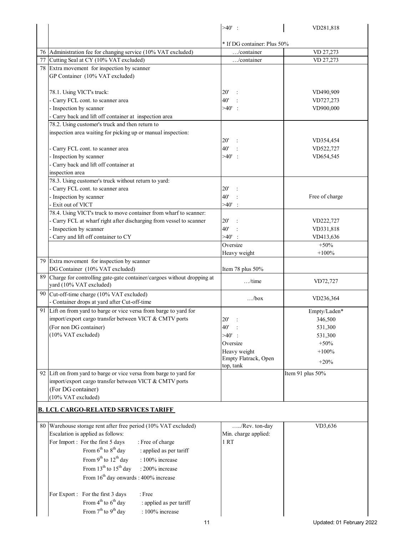|                                                                                                      | $>40'$ :                     | VD281,818        |
|------------------------------------------------------------------------------------------------------|------------------------------|------------------|
|                                                                                                      |                              |                  |
|                                                                                                      | * If DG container: Plus 50%  |                  |
| 76 Administration fee for changing service (10% VAT excluded)                                        | $\ldots$ /container          | VD 27,273        |
| 77 Cutting Seal at CY (10% VAT excluded)                                                             | /container                   | VD 27,273        |
| 78 Extra movement for inspection by scanner                                                          |                              |                  |
| GP Container (10% VAT excluded)                                                                      |                              |                  |
|                                                                                                      |                              |                  |
| 78.1. Using VICT's truck:                                                                            | $20^{\circ}$                 | VD490,909        |
| Carry FCL cont. to scanner area                                                                      | 40'                          | VD727,273        |
| Inspection by scanner                                                                                | $>40'$ :                     | VD900,000        |
| Carry back and lift off container at inspection area                                                 |                              |                  |
| 78.2. Using customer's truck and then return to                                                      |                              |                  |
| inspection area waiting for picking up or manual inspection:                                         |                              |                  |
|                                                                                                      | $20^{\circ}$                 | VD354,454        |
| Carry FCL cont. to scanner area                                                                      | 40'                          | VD522,727        |
| Inspection by scanner                                                                                | $>40'$ :                     | VD654,545        |
| Carry back and lift off container at                                                                 |                              |                  |
| inspection area                                                                                      |                              |                  |
| 78.3. Using customer's truck without return to yard:                                                 |                              |                  |
| Carry FCL cont. to scanner area                                                                      | 20'                          |                  |
| Inspection by scanner                                                                                | 40'                          | Free of charge   |
| Exit out of VICT                                                                                     | >40'                         |                  |
| 78.4. Using VICT's truck to move container from wharf to scanner:                                    |                              |                  |
| Carry FCL at wharf right after discharging from vessel to scanner                                    | 20'                          | VD222,727        |
| Inspection by scanner                                                                                | 40'                          | VD331,818        |
| Carry and lift off container to CY                                                                   | $>40'$ :                     | VD413,636        |
|                                                                                                      | Oversize                     | $+50%$           |
|                                                                                                      | Heavy weight                 | $+100%$          |
| 79 Extra movement for inspection by scanner                                                          |                              |                  |
| DG Container (10% VAT excluded)                                                                      | Item 78 plus 50%             |                  |
| 89 Charge for controlling gate-gate container/cargoes without dropping at<br>yard (10% VAT excluded) | $\dots$ /time                | VD72,727         |
| 90 Cut-off-time charge (10% VAT excluded)                                                            |                              |                  |
| - Container drops at yard after Cut-off-time                                                         | /box                         | VD236,364        |
| 91 Lift on from yard to barge or vice versa from barge to yard for                                   |                              | Empty/Laden*     |
| import/export cargo transfer between VICT & CMTV ports                                               | $20^{\circ}$<br>$\therefore$ | 346,500          |
| (For non DG container)                                                                               | 40'                          | 531,300          |
| (10% VAT excluded)                                                                                   | $>40'$ :                     | 531,300          |
|                                                                                                      | Oversize                     | $+50%$           |
|                                                                                                      | Heavy weight                 | $+100%$          |
|                                                                                                      | Empty Flatrack, Open         |                  |
|                                                                                                      | top, tank                    | $+20%$           |
| 92 Lift on from yard to barge or vice versa from barge to yard for                                   |                              | Item 91 plus 50% |
| import/export cargo transfer between VICT & CMTV ports                                               |                              |                  |
| (For DG container)                                                                                   |                              |                  |
| (10% VAT excluded)                                                                                   |                              |                  |
| <b>B. LCL CARGO-RELATED SERVICES TARIFF</b>                                                          |                              |                  |
| 80 Warehouse storage rent after free period (10% VAT excluded)                                       | /Rev. ton-day                | VD3,636          |
| Escalation is applied as follows:                                                                    | Min. charge applied:         |                  |
| For Import: For the first 5 days<br>: Free of charge                                                 | 1 RT                         |                  |
| From $6^{th}$ to $8^{th}$ day<br>: applied as per tariff                                             |                              |                  |
|                                                                                                      |                              |                  |
| From 9 <sup>th</sup> to 12 <sup>th</sup> day<br>: 100% increase                                      |                              |                  |
| From 13 <sup>th</sup> to 15 <sup>th</sup> day<br>: 200% increase                                     |                              |                  |
| From $16^{th}$ day onwards : 400% increase                                                           |                              |                  |
|                                                                                                      |                              |                  |
| $:$ Free<br>For Export : For the first 3 days                                                        |                              |                  |
| From $4^{th}$ to $6^{th}$ day<br>: applied as per tariff                                             |                              |                  |
| From 7 <sup>th</sup> to 9 <sup>th</sup> day<br>: 100% increase                                       |                              |                  |